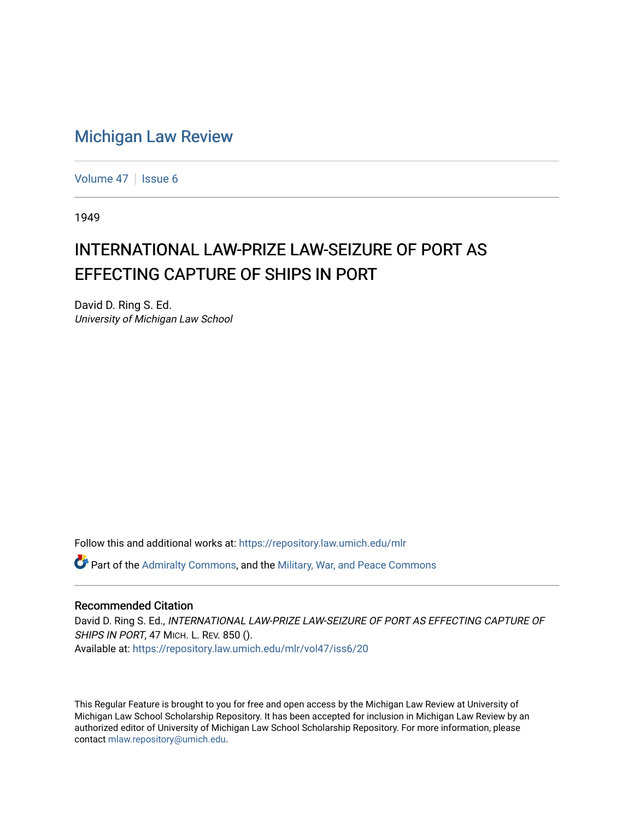## [Michigan Law Review](https://repository.law.umich.edu/mlr)

[Volume 47](https://repository.law.umich.edu/mlr/vol47) | [Issue 6](https://repository.law.umich.edu/mlr/vol47/iss6)

1949

## INTERNATIONAL LAW-PRIZE LAW-SEIZURE OF PORT AS EFFECTING CAPTURE OF SHIPS IN PORT

David D. Ring S. Ed. University of Michigan Law School

Follow this and additional works at: [https://repository.law.umich.edu/mlr](https://repository.law.umich.edu/mlr?utm_source=repository.law.umich.edu%2Fmlr%2Fvol47%2Fiss6%2F20&utm_medium=PDF&utm_campaign=PDFCoverPages) 

 $\bullet$  Part of the [Admiralty Commons](http://network.bepress.com/hgg/discipline/580?utm_source=repository.law.umich.edu%2Fmlr%2Fvol47%2Fiss6%2F20&utm_medium=PDF&utm_campaign=PDFCoverPages), and the Military, War, and Peace Commons

## Recommended Citation

David D. Ring S. Ed., INTERNATIONAL LAW-PRIZE LAW-SEIZURE OF PORT AS EFFECTING CAPTURE OF SHIPS IN PORT, 47 MICH. L. REV. 850 (). Available at: [https://repository.law.umich.edu/mlr/vol47/iss6/20](https://repository.law.umich.edu/mlr/vol47/iss6/20?utm_source=repository.law.umich.edu%2Fmlr%2Fvol47%2Fiss6%2F20&utm_medium=PDF&utm_campaign=PDFCoverPages) 

This Regular Feature is brought to you for free and open access by the Michigan Law Review at University of Michigan Law School Scholarship Repository. It has been accepted for inclusion in Michigan Law Review by an authorized editor of University of Michigan Law School Scholarship Repository. For more information, please contact [mlaw.repository@umich.edu](mailto:mlaw.repository@umich.edu).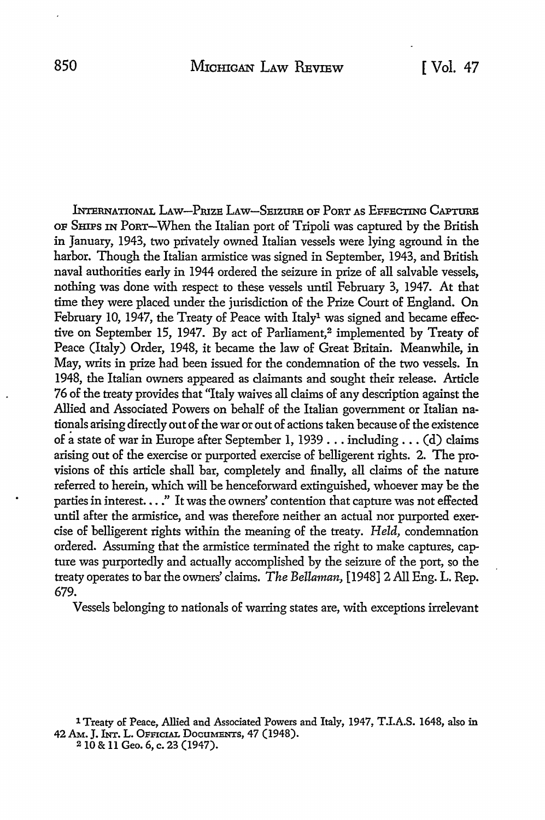lNrERNATIONAL LAw-PruZE LAw-SEIZURE OF PoRT AS EFFECTING CAPTURE OF SHIPS IN PoRT-When the Italian port of Tripoli was captured by the British in January, 1943, two privately owned Italian vessels were lying aground in the harbor. Though the Italian armistice was signed in September, 1943, and British naval authorities early in 1944 ordered the seizure in prize of all salvable vessels, nothing was done with respect to these vessels until February 3, 1947. At that time they were placed under the jurisdiction of the Prize Court of England. On February 10, 1947, the Treaty of Peace with Italy<sup>1</sup> was signed and became effective on September 15, 1947. By act of Parliament,<sup>2</sup> implemented by Treaty of Peace (Italy) Order, 1948, it became the law of Great Britain. Meanwhile, in May, writs in prize had been issued for the condemnation of the two vessels. In 1948, the Italian owners appeared as claimants and sought their release. Article 76 of the treaty provides that "Italy waives all claims of any description against the Allied and Associated Powers on behalf of the Italian government or Italian nationals arising directly out of the war or out of actions taken because of the existence of a state of war in Europe after September 1, 1939 . . . including . . . (d) claims arising out of the exercise or purported exercise of belligerent rights. 2. The provisions of this article shall bar, completely and finally, all claims of the nature referred to herein, which will be henceforward extinguished, whoever may be the parties in interest...." It was the owners' contention that capture was not effected until after the armistice, and was therefore neither an actual nor purported exercise of belligerent rights within the meaning of the treaty. *Held,* condemnation ordered. Assuming that the armistice terminated the right to make captures, capture was purportedly and actually accomplished by the seizure of the port, so the treaty operates to bar the owners' claims. *The Bellaman,* [1948] 2 All Eng. L. Rep. 679.

Vessels belonging to nationals of warring states are, with exceptions irrelevant

1 Treaty of Peace, Allied and Associated Powers and Italy, 1947, T.I.A.S. 1648, also in 42 Am. J. INT. L. OFFICIAL DOCUMENTS, 47 (1948). 2 IQ & 11 Geo. 6, c. 23 (1947).